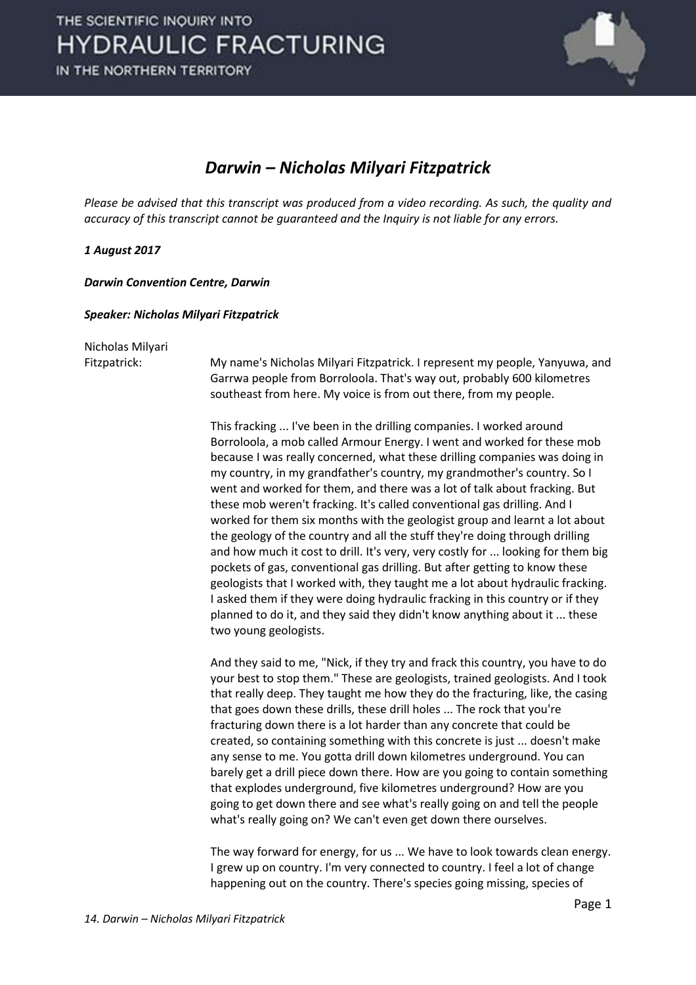

## *Darwin – Nicholas Milyari Fitzpatrick*

*Please be advised that this transcript was produced from a video recording. As such, the quality and accuracy of this transcript cannot be guaranteed and the Inquiry is not liable for any errors.*

## *1 August 2017*

*Darwin Convention Centre, Darwin* 

## *Speaker: Nicholas Milyari Fitzpatrick*

Nicholas Milyari

Fitzpatrick: My name's Nicholas Milyari Fitzpatrick. I represent my people, Yanyuwa, and Garrwa people from Borroloola. That's way out, probably 600 kilometres southeast from here. My voice is from out there, from my people.

> This fracking ... I've been in the drilling companies. I worked around Borroloola, a mob called Armour Energy. I went and worked for these mob because I was really concerned, what these drilling companies was doing in my country, in my grandfather's country, my grandmother's country. So I went and worked for them, and there was a lot of talk about fracking. But these mob weren't fracking. It's called conventional gas drilling. And I worked for them six months with the geologist group and learnt a lot about the geology of the country and all the stuff they're doing through drilling and how much it cost to drill. It's very, very costly for ... looking for them big pockets of gas, conventional gas drilling. But after getting to know these geologists that I worked with, they taught me a lot about hydraulic fracking. I asked them if they were doing hydraulic fracking in this country or if they planned to do it, and they said they didn't know anything about it ... these two young geologists.

> And they said to me, "Nick, if they try and frack this country, you have to do your best to stop them." These are geologists, trained geologists. And I took that really deep. They taught me how they do the fracturing, like, the casing that goes down these drills, these drill holes ... The rock that you're fracturing down there is a lot harder than any concrete that could be created, so containing something with this concrete is just ... doesn't make any sense to me. You gotta drill down kilometres underground. You can barely get a drill piece down there. How are you going to contain something that explodes underground, five kilometres underground? How are you going to get down there and see what's really going on and tell the people what's really going on? We can't even get down there ourselves.

> The way forward for energy, for us ... We have to look towards clean energy. I grew up on country. I'm very connected to country. I feel a lot of change happening out on the country. There's species going missing, species of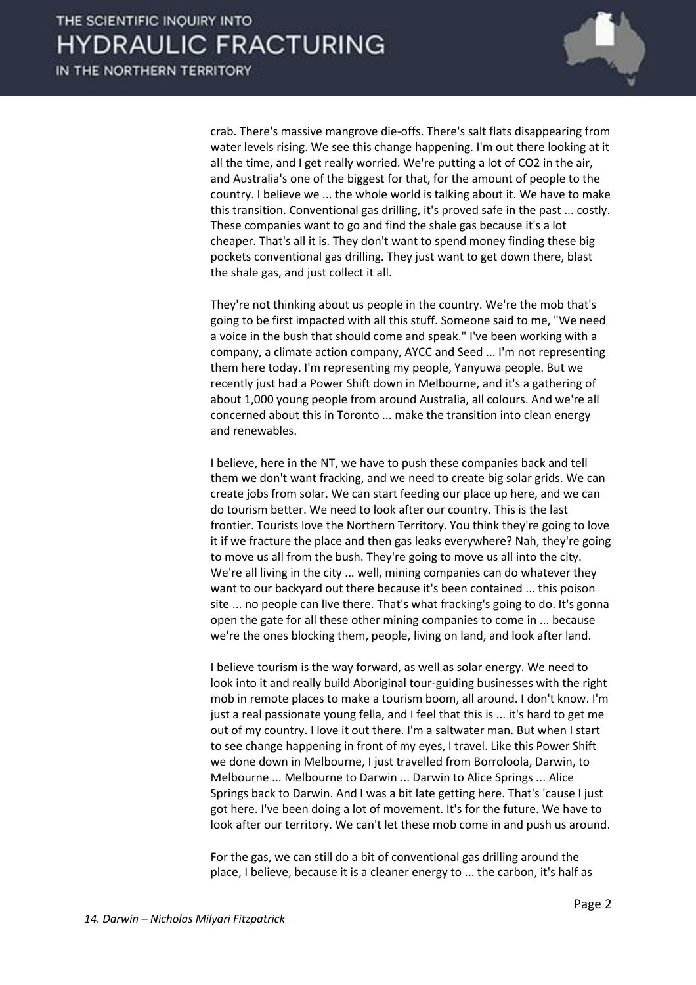

crab. There's massive mangrove die-offs. There's salt flats disappearing from water levels rising. We see this change happening. I'm out there looking at it all the time, and I get really worried. We're putting a lot of CO2 in the air, and Australia's one of the biggest for that, for the amount of people to the country. I believe we ... the whole world is talking about it. We have to make this transition. Conventional gas drilling, it's proved safe in the past ... costly. These companies want to go and find the shale gas because it's a lot cheaper. That's all it is. They don't want to spend money finding these big pockets conventional gas drilling. They just want to get down there, blast the shale gas, and just collect it all.

 They're not thinking about us people in the country. We're the mob that's going to be first impacted with all this stuff. Someone said to me, "We need a voice in the bush that should come and speak." I've been working with a company, a climate action company, AYCC and Seed ... I'm not representing them here today. I'm representing my people, Yanyuwa people. But we recently just had a Power Shift down in Melbourne, and it's a gathering of about 1,000 young people from around Australia, all colours. And we're all concerned about this in Toronto ... make the transition into clean energy and renewables.

 I believe, here in the NT, we have to push these companies back and tell them we don't want fracking, and we need to create big solar grids. We can create jobs from solar. We can start feeding our place up here, and we can do tourism better. We need to look after our country. This is the last frontier. Tourists love the Northern Territory. You think they're going to love it if we fracture the place and then gas leaks everywhere? Nah, they're going to move us all from the bush. They're going to move us all into the city. We're all living in the city ... well, mining companies can do whatever they want to our backyard out there because it's been contained ... this poison site ... no people can live there. That's what fracking's going to do. It's gonna open the gate for all these other mining companies to come in ... because we're the ones blocking them, people, living on land, and look after land.

 I believe tourism is the way forward, as well as solar energy. We need to look into it and really build Aboriginal tour-guiding businesses with the right mob in remote places to make a tourism boom, all around. I don't know. I'm just a real passionate young fella, and I feel that this is ... it's hard to get me out of my country. I love it out there. I'm a saltwater man. But when I start to see change happening in front of my eyes, I travel. Like this Power Shift we done down in Melbourne, I just travelled from Borroloola, Darwin, to Melbourne ... Melbourne to Darwin ... Darwin to Alice Springs ... Alice Springs back to Darwin. And I was a bit late getting here. That's 'cause I just got here. I've been doing a lot of movement. It's for the future. We have to look after our territory. We can't let these mob come in and push us around.

 For the gas, we can still do a bit of conventional gas drilling around the place, I believe, because it is a cleaner energy to ... the carbon, it's half as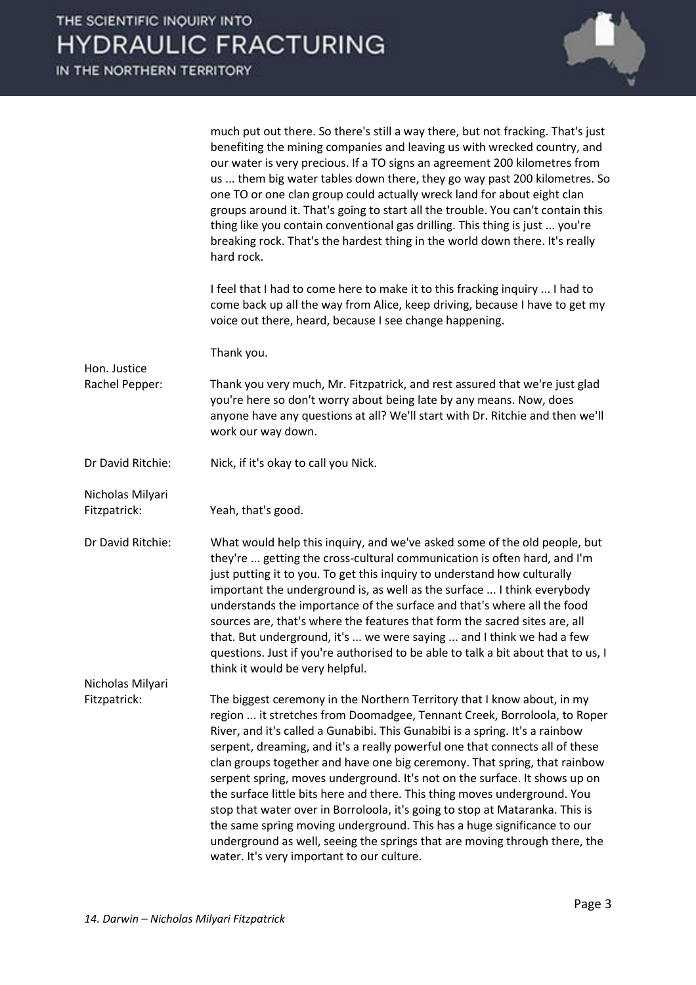

much put out there. So there's still a way there, but not fracking. That's just benefiting the mining companies and leaving us with wrecked country, and our water is very precious. If a TO signs an agreement 200 kilometres from us ... them big water tables down there, they go way past 200 kilometres. So one TO or one clan group could actually wreck land for about eight clan groups around it. That's going to start all the trouble. You can't contain this thing like you contain conventional gas drilling. This thing is just ... you're breaking rock. That's the hardest thing in the world down there. It's really hard rock.

 I feel that I had to come here to make it to this fracking inquiry ... I had to come back up all the way from Alice, keep driving, because I have to get my voice out there, heard, because I see change happening.

Thank you.

Rachel Pepper: Thank you very much, Mr. Fitzpatrick, and rest assured that we're just glad you're here so don't worry about being late by any means. Now, does anyone have any questions at all? We'll start with Dr. Ritchie and then we'll work our way down.

Dr David Ritchie: Nick, if it's okay to call you Nick.

Fitzpatrick: Yeah, that's good.

Hon. Justice

Nicholas Milyari

Dr David Ritchie: What would help this inquiry, and we've asked some of the old people, but they're ... getting the cross-cultural communication is often hard, and I'm just putting it to you. To get this inquiry to understand how culturally important the underground is, as well as the surface ... I think everybody understands the importance of the surface and that's where all the food sources are, that's where the features that form the sacred sites are, all that. But underground, it's ... we were saying ... and I think we had a few questions. Just if you're authorised to be able to talk a bit about that to us, I think it would be very helpful. Nicholas Milyari

Fitzpatrick: The biggest ceremony in the Northern Territory that I know about, in my region ... it stretches from Doomadgee, Tennant Creek, Borroloola, to Roper River, and it's called a Gunabibi. This Gunabibi is a spring. It's a rainbow serpent, dreaming, and it's a really powerful one that connects all of these clan groups together and have one big ceremony. That spring, that rainbow serpent spring, moves underground. It's not on the surface. It shows up on the surface little bits here and there. This thing moves underground. You stop that water over in Borroloola, it's going to stop at Mataranka. This is the same spring moving underground. This has a huge significance to our underground as well, seeing the springs that are moving through there, the water. It's very important to our culture.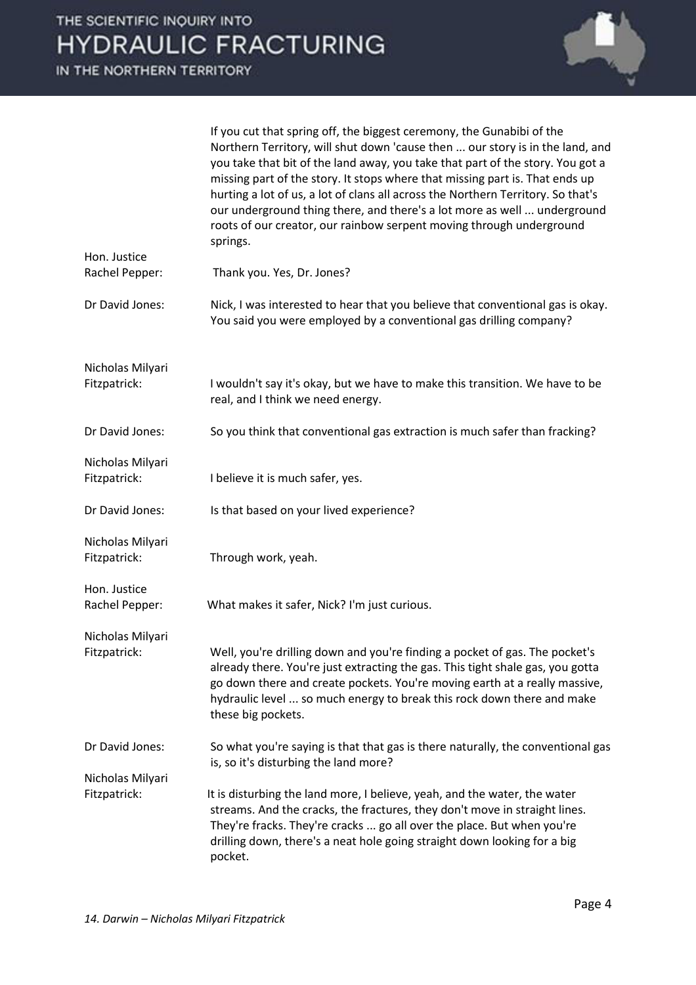

|                                  | If you cut that spring off, the biggest ceremony, the Gunabibi of the<br>Northern Territory, will shut down 'cause then  our story is in the land, and<br>you take that bit of the land away, you take that part of the story. You got a<br>missing part of the story. It stops where that missing part is. That ends up<br>hurting a lot of us, a lot of clans all across the Northern Territory. So that's<br>our underground thing there, and there's a lot more as well  underground<br>roots of our creator, our rainbow serpent moving through underground<br>springs. |
|----------------------------------|------------------------------------------------------------------------------------------------------------------------------------------------------------------------------------------------------------------------------------------------------------------------------------------------------------------------------------------------------------------------------------------------------------------------------------------------------------------------------------------------------------------------------------------------------------------------------|
| Hon. Justice<br>Rachel Pepper:   | Thank you. Yes, Dr. Jones?                                                                                                                                                                                                                                                                                                                                                                                                                                                                                                                                                   |
| Dr David Jones:                  | Nick, I was interested to hear that you believe that conventional gas is okay.<br>You said you were employed by a conventional gas drilling company?                                                                                                                                                                                                                                                                                                                                                                                                                         |
| Nicholas Milyari<br>Fitzpatrick: | I wouldn't say it's okay, but we have to make this transition. We have to be<br>real, and I think we need energy.                                                                                                                                                                                                                                                                                                                                                                                                                                                            |
| Dr David Jones:                  | So you think that conventional gas extraction is much safer than fracking?                                                                                                                                                                                                                                                                                                                                                                                                                                                                                                   |
| Nicholas Milyari<br>Fitzpatrick: | I believe it is much safer, yes.                                                                                                                                                                                                                                                                                                                                                                                                                                                                                                                                             |
| Dr David Jones:                  | Is that based on your lived experience?                                                                                                                                                                                                                                                                                                                                                                                                                                                                                                                                      |
| Nicholas Milyari<br>Fitzpatrick: | Through work, yeah.                                                                                                                                                                                                                                                                                                                                                                                                                                                                                                                                                          |
| Hon. Justice<br>Rachel Pepper:   | What makes it safer, Nick? I'm just curious.                                                                                                                                                                                                                                                                                                                                                                                                                                                                                                                                 |
| Nicholas Milyari<br>Fitzpatrick: | Well, you're drilling down and you're finding a pocket of gas. The pocket's<br>already there. You're just extracting the gas. This tight shale gas, you gotta<br>go down there and create pockets. You're moving earth at a really massive,<br>hydraulic level  so much energy to break this rock down there and make<br>these big pockets.                                                                                                                                                                                                                                  |
| Dr David Jones:                  | So what you're saying is that that gas is there naturally, the conventional gas<br>is, so it's disturbing the land more?                                                                                                                                                                                                                                                                                                                                                                                                                                                     |
| Nicholas Milyari                 |                                                                                                                                                                                                                                                                                                                                                                                                                                                                                                                                                                              |
| Fitzpatrick:                     | It is disturbing the land more, I believe, yeah, and the water, the water<br>streams. And the cracks, the fractures, they don't move in straight lines.<br>They're fracks. They're cracks  go all over the place. But when you're<br>drilling down, there's a neat hole going straight down looking for a big<br>pocket.                                                                                                                                                                                                                                                     |